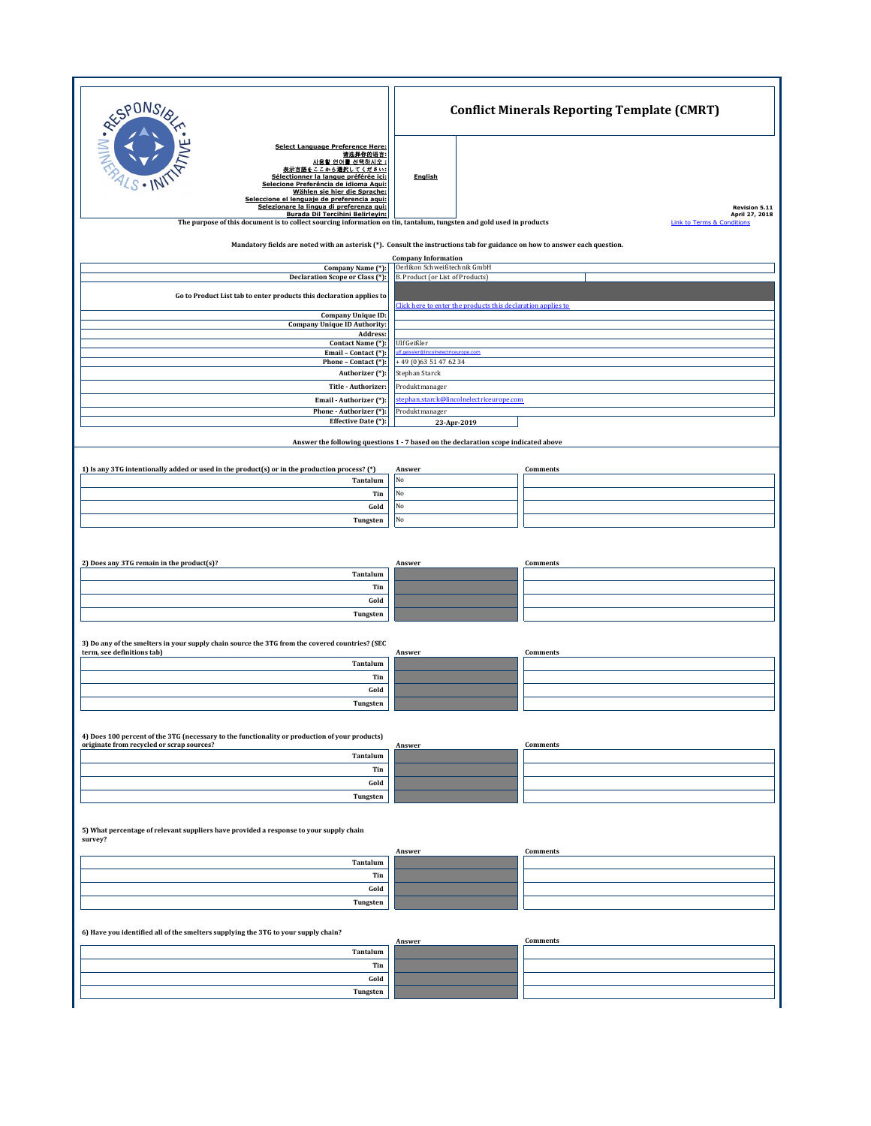| RESPONSIE                                                                                                                                                                                                                                                                                                                                    | <b>Conflict Minerals Reporting Template (CMRT)</b>                                                                                                                                                                                                                                          |                                        |  |  |  |  |
|----------------------------------------------------------------------------------------------------------------------------------------------------------------------------------------------------------------------------------------------------------------------------------------------------------------------------------------------|---------------------------------------------------------------------------------------------------------------------------------------------------------------------------------------------------------------------------------------------------------------------------------------------|----------------------------------------|--|--|--|--|
| <b>Select Language Preference Here:</b><br>请选择你的语言:<br>사용할 언어를 선택하시오 :<br>表示言語をここから選択してください:<br>Sélectionner la langue préférée ici:<br>Selecione Preferência de idioma Aqui:<br>Wählen sie hier die Sprache:<br>Seleccione el lenguaie de preferencia agui:<br>Selezionare la lingua di preferenza qui:<br>Burada Dil Tercihini Belirleyin: | English                                                                                                                                                                                                                                                                                     | <b>Revision 5.11</b><br>April 27, 2018 |  |  |  |  |
|                                                                                                                                                                                                                                                                                                                                              | The purpose of this document is to collect sourcing information on tin, tantalum, tungsten and gold used in products<br><b>Link to Terms &amp; Conditions</b><br>Mandatory fields are noted with an asterisk (*). Consult the instructions tab for guidance on how to answer each question. |                                        |  |  |  |  |
|                                                                                                                                                                                                                                                                                                                                              | <b>Company Information</b>                                                                                                                                                                                                                                                                  |                                        |  |  |  |  |
| Company Name (*):<br>Declaration Scope or Class (*):                                                                                                                                                                                                                                                                                         | Oerlikon Schweißtechnik GmbH<br>B. Product (or List of Products)                                                                                                                                                                                                                            |                                        |  |  |  |  |
| Go to Product List tab to enter products this declaration applies to                                                                                                                                                                                                                                                                         |                                                                                                                                                                                                                                                                                             |                                        |  |  |  |  |
|                                                                                                                                                                                                                                                                                                                                              | Click here to enter the products this declaration applies to                                                                                                                                                                                                                                |                                        |  |  |  |  |
| Company Unique ID:<br><b>Company Unique ID Authority:</b>                                                                                                                                                                                                                                                                                    |                                                                                                                                                                                                                                                                                             |                                        |  |  |  |  |
| Address:<br>Contact Name (*):                                                                                                                                                                                                                                                                                                                | Ulf Geißler                                                                                                                                                                                                                                                                                 |                                        |  |  |  |  |
| Email - Contact (*):<br>Phone - Contact (*):                                                                                                                                                                                                                                                                                                 | If neissler@lin<br>oInelectriceurope.com<br>+49 (0)63 51 47 62 34                                                                                                                                                                                                                           |                                        |  |  |  |  |
| Authorizer (*):                                                                                                                                                                                                                                                                                                                              | Stephan Starck                                                                                                                                                                                                                                                                              |                                        |  |  |  |  |
| Title - Authorizer:                                                                                                                                                                                                                                                                                                                          | Produktmanager                                                                                                                                                                                                                                                                              |                                        |  |  |  |  |
| Email - Authorizer (*):<br>Phone - Authorizer (*):                                                                                                                                                                                                                                                                                           | stephan.starck@lincolnelectriceurope.com<br>Produktmanager                                                                                                                                                                                                                                  |                                        |  |  |  |  |
| Effective Date (*):                                                                                                                                                                                                                                                                                                                          | 23-Apr-2019                                                                                                                                                                                                                                                                                 |                                        |  |  |  |  |
|                                                                                                                                                                                                                                                                                                                                              | Answer the following questions 1 - 7 based on the declaration scope indicated above                                                                                                                                                                                                         |                                        |  |  |  |  |
| 1) Is any 3TG intentionally added or used in the product(s) or in the production process? (*)                                                                                                                                                                                                                                                | Answer                                                                                                                                                                                                                                                                                      | Comments                               |  |  |  |  |
| Tantalum                                                                                                                                                                                                                                                                                                                                     | No                                                                                                                                                                                                                                                                                          |                                        |  |  |  |  |
| Tin<br>Gold                                                                                                                                                                                                                                                                                                                                  | No<br>No                                                                                                                                                                                                                                                                                    |                                        |  |  |  |  |
| Tungsten                                                                                                                                                                                                                                                                                                                                     | No                                                                                                                                                                                                                                                                                          |                                        |  |  |  |  |
|                                                                                                                                                                                                                                                                                                                                              |                                                                                                                                                                                                                                                                                             |                                        |  |  |  |  |
| 2) Does any 3TG remain in the product(s)?                                                                                                                                                                                                                                                                                                    | Answer                                                                                                                                                                                                                                                                                      | Comments                               |  |  |  |  |
| Tantalum                                                                                                                                                                                                                                                                                                                                     |                                                                                                                                                                                                                                                                                             |                                        |  |  |  |  |
| Tin                                                                                                                                                                                                                                                                                                                                          |                                                                                                                                                                                                                                                                                             |                                        |  |  |  |  |
| Gold<br>Tungsten                                                                                                                                                                                                                                                                                                                             |                                                                                                                                                                                                                                                                                             |                                        |  |  |  |  |
|                                                                                                                                                                                                                                                                                                                                              |                                                                                                                                                                                                                                                                                             |                                        |  |  |  |  |
| 3) Do any of the smelters in your supply chain source the 3TG from the covered countries? (SEC                                                                                                                                                                                                                                               |                                                                                                                                                                                                                                                                                             |                                        |  |  |  |  |
| term, see definitions tab)<br>Tantalum                                                                                                                                                                                                                                                                                                       | Answer                                                                                                                                                                                                                                                                                      | <b>Comments</b>                        |  |  |  |  |
| Tin                                                                                                                                                                                                                                                                                                                                          |                                                                                                                                                                                                                                                                                             |                                        |  |  |  |  |
| Gold                                                                                                                                                                                                                                                                                                                                         |                                                                                                                                                                                                                                                                                             |                                        |  |  |  |  |
| Tungsten                                                                                                                                                                                                                                                                                                                                     |                                                                                                                                                                                                                                                                                             |                                        |  |  |  |  |
| 4) Does 100 percent of the 3TG (necessary to the functionality or production of your products)                                                                                                                                                                                                                                               |                                                                                                                                                                                                                                                                                             |                                        |  |  |  |  |
| originate from recycled or scrap sources?<br>Tantalum                                                                                                                                                                                                                                                                                        | Answer                                                                                                                                                                                                                                                                                      | <b>Comments</b>                        |  |  |  |  |
| Tin                                                                                                                                                                                                                                                                                                                                          |                                                                                                                                                                                                                                                                                             |                                        |  |  |  |  |
| Gold                                                                                                                                                                                                                                                                                                                                         |                                                                                                                                                                                                                                                                                             |                                        |  |  |  |  |
| Tungsten                                                                                                                                                                                                                                                                                                                                     |                                                                                                                                                                                                                                                                                             |                                        |  |  |  |  |
| 5) What percentage of relevant suppliers have provided a response to your supply chain<br>survey?                                                                                                                                                                                                                                            |                                                                                                                                                                                                                                                                                             |                                        |  |  |  |  |
|                                                                                                                                                                                                                                                                                                                                              | Answer                                                                                                                                                                                                                                                                                      | <b>Comments</b>                        |  |  |  |  |
| Tantalum                                                                                                                                                                                                                                                                                                                                     |                                                                                                                                                                                                                                                                                             |                                        |  |  |  |  |
| Tin<br>Gold                                                                                                                                                                                                                                                                                                                                  |                                                                                                                                                                                                                                                                                             |                                        |  |  |  |  |
| Tungsten                                                                                                                                                                                                                                                                                                                                     |                                                                                                                                                                                                                                                                                             |                                        |  |  |  |  |
|                                                                                                                                                                                                                                                                                                                                              |                                                                                                                                                                                                                                                                                             |                                        |  |  |  |  |
| 6) Have you identified all of the smelters supplying the 3TG to your supply chain?                                                                                                                                                                                                                                                           |                                                                                                                                                                                                                                                                                             | <b>Comments</b>                        |  |  |  |  |
| Tantalum                                                                                                                                                                                                                                                                                                                                     | Answer                                                                                                                                                                                                                                                                                      |                                        |  |  |  |  |
| Tin                                                                                                                                                                                                                                                                                                                                          |                                                                                                                                                                                                                                                                                             |                                        |  |  |  |  |
| Gold                                                                                                                                                                                                                                                                                                                                         |                                                                                                                                                                                                                                                                                             |                                        |  |  |  |  |
| Tungsten                                                                                                                                                                                                                                                                                                                                     |                                                                                                                                                                                                                                                                                             |                                        |  |  |  |  |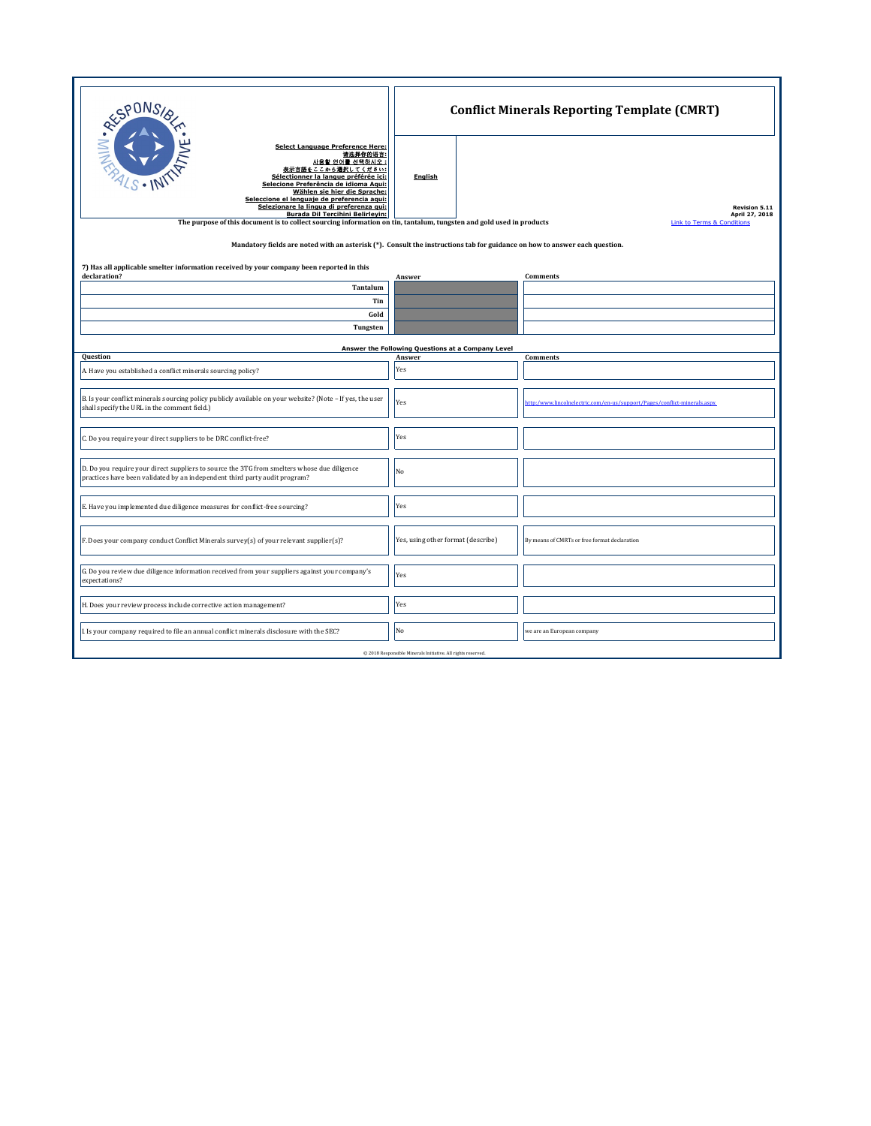| <b>RESPONS</b><br><b>Select Language Preference Here:</b><br>请选择你的语言:<br>사용할 언어를 선택하시오 :<br>表示言語をここから選択してください:<br>Sélectionner la langue préférée ici:<br>Selecione Preferência de idioma Agui:<br>Wählen sie hier die Sprache:<br>Seleccione el lenguaie de preferencia agui:<br>Selezionare la lingua di preferenza gui:<br><b>Burada Dil Tercihini Belirleyin:</b><br>The purpose of this document is to collect sourcing information on tin, tantalum, tungsten and gold used in products<br>Mandatory fields are noted with an asterisk (*). Consult the instructions tab for guidance on how to answer each question. | <b>English</b>                                    | <b>Conflict Minerals Reporting Template (CMRT)</b><br><b>Revision 5.11</b><br>April 27, 2018<br><b>Link to Terms &amp; Conditions</b> |  |  |
|-----------------------------------------------------------------------------------------------------------------------------------------------------------------------------------------------------------------------------------------------------------------------------------------------------------------------------------------------------------------------------------------------------------------------------------------------------------------------------------------------------------------------------------------------------------------------------------------------------------------------------|---------------------------------------------------|---------------------------------------------------------------------------------------------------------------------------------------|--|--|
| 7) Has all applicable smelter information received by your company been reported in this<br>declaration?                                                                                                                                                                                                                                                                                                                                                                                                                                                                                                                    | Answer                                            | <b>Comments</b>                                                                                                                       |  |  |
| Tantalum                                                                                                                                                                                                                                                                                                                                                                                                                                                                                                                                                                                                                    |                                                   |                                                                                                                                       |  |  |
| Tin                                                                                                                                                                                                                                                                                                                                                                                                                                                                                                                                                                                                                         |                                                   |                                                                                                                                       |  |  |
| Gold                                                                                                                                                                                                                                                                                                                                                                                                                                                                                                                                                                                                                        |                                                   |                                                                                                                                       |  |  |
| Tungsten                                                                                                                                                                                                                                                                                                                                                                                                                                                                                                                                                                                                                    |                                                   |                                                                                                                                       |  |  |
|                                                                                                                                                                                                                                                                                                                                                                                                                                                                                                                                                                                                                             | Answer the Following Questions at a Company Level |                                                                                                                                       |  |  |
| Question                                                                                                                                                                                                                                                                                                                                                                                                                                                                                                                                                                                                                    | Answer                                            | Comments                                                                                                                              |  |  |
| A. Have you established a conflict minerals sourcing policy?                                                                                                                                                                                                                                                                                                                                                                                                                                                                                                                                                                | Yes                                               |                                                                                                                                       |  |  |
| B. Is your conflict minerals sourcing policy publicly available on your website? (Note - If yes, the user<br>shall specify the URL in the comment field.)                                                                                                                                                                                                                                                                                                                                                                                                                                                                   | Yes                                               | http:/www.lincolnelectric.com/en-us/support/Pages/conflict-minerals.aspx                                                              |  |  |
| C. Do you require your direct suppliers to be DRC conflict-free?                                                                                                                                                                                                                                                                                                                                                                                                                                                                                                                                                            | Yes                                               |                                                                                                                                       |  |  |
| D. Do you require your direct suppliers to source the 3TG from smelters whose due diligence<br>practices have been validated by an independent third party audit program?                                                                                                                                                                                                                                                                                                                                                                                                                                                   | No                                                |                                                                                                                                       |  |  |
| E. Have you implemented due diligence measures for conflict-free sourcing?                                                                                                                                                                                                                                                                                                                                                                                                                                                                                                                                                  | Yes                                               |                                                                                                                                       |  |  |
| F. Does your company conduct Conflict Minerals survey(s) of your relevant supplier(s)?                                                                                                                                                                                                                                                                                                                                                                                                                                                                                                                                      | Yes, using other format (describe)                | By means of CMRTs or free format declaration                                                                                          |  |  |
| G. Do you review due diligence information received from your suppliers against your company's<br>expectations?                                                                                                                                                                                                                                                                                                                                                                                                                                                                                                             | Yes                                               |                                                                                                                                       |  |  |
| H. Does your review process include corrective action management?                                                                                                                                                                                                                                                                                                                                                                                                                                                                                                                                                           | Yes                                               |                                                                                                                                       |  |  |
| I. Is your company required to file an annual conflict minerals disclosure with the SEC?                                                                                                                                                                                                                                                                                                                                                                                                                                                                                                                                    | N <sub>o</sub>                                    | we are an European company                                                                                                            |  |  |
| @ 2018 Responsible Minerals Initiative. All rights reserved.                                                                                                                                                                                                                                                                                                                                                                                                                                                                                                                                                                |                                                   |                                                                                                                                       |  |  |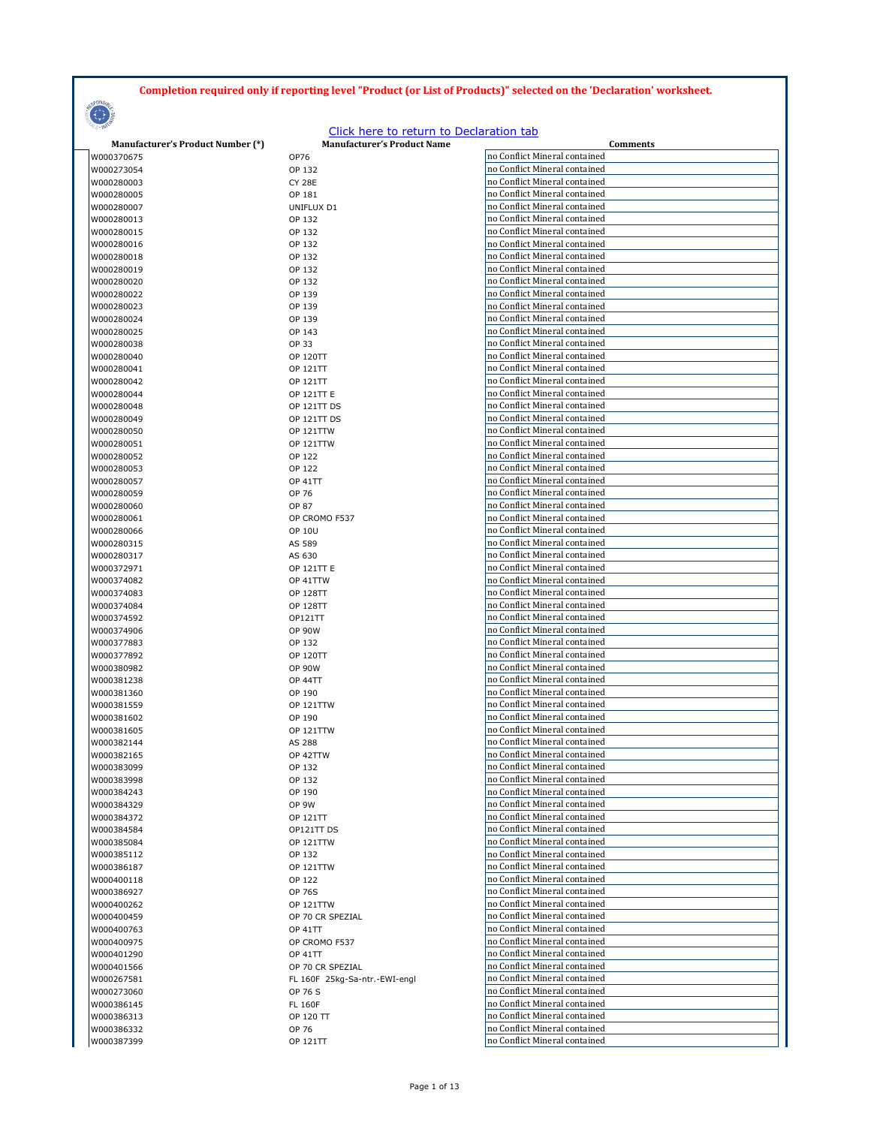## **Completion required only if reporting level "Product (or List of Products)" selected on the 'Declaration' worksheet.**



## Click here to return to Declaration tab

| <b>Manufacturer's Product Number (*)</b> | <b>Manufacturer's Product Name</b> | Comments                      |
|------------------------------------------|------------------------------------|-------------------------------|
| W000370675                               | OP76                               | no Conflict Mineral contained |
|                                          |                                    | no Conflict Mineral contained |
| W000273054                               | OP 132                             |                               |
| W000280003                               | <b>CY 28E</b>                      | no Conflict Mineral contained |
| W000280005                               | OP 181                             | no Conflict Mineral contained |
| W000280007                               | UNIFLUX D1                         | no Conflict Mineral contained |
| W000280013                               | OP 132                             | no Conflict Mineral contained |
|                                          |                                    |                               |
| W000280015                               | OP 132                             | no Conflict Mineral contained |
| W000280016                               | OP 132                             | no Conflict Mineral contained |
| W000280018                               | OP 132                             | no Conflict Mineral contained |
| W000280019                               | OP 132                             | no Conflict Mineral contained |
|                                          |                                    | no Conflict Mineral contained |
| W000280020                               | OP 132                             |                               |
| W000280022                               | OP 139                             | no Conflict Mineral contained |
| W000280023                               | OP 139                             | no Conflict Mineral contained |
| W000280024                               | OP 139                             | no Conflict Mineral contained |
| W000280025                               | OP 143                             | no Conflict Mineral contained |
|                                          |                                    |                               |
| W000280038                               | OP 33                              | no Conflict Mineral contained |
| W000280040                               | <b>OP 120TT</b>                    | no Conflict Mineral contained |
| W000280041                               | OP 121TT                           | no Conflict Mineral contained |
| W000280042                               | OP 121TT                           | no Conflict Mineral contained |
| W000280044                               | OP 121TT E                         | no Conflict Mineral contained |
|                                          |                                    | no Conflict Mineral contained |
| W000280048                               | OP 121TT DS                        |                               |
| W000280049                               | OP 121TT DS                        | no Conflict Mineral contained |
| W000280050                               | OP 121TTW                          | no Conflict Mineral contained |
| W000280051                               | OP 121TTW                          | no Conflict Mineral contained |
| W000280052                               | OP 122                             | no Conflict Mineral contained |
|                                          |                                    | no Conflict Mineral contained |
| W000280053                               | OP 122                             |                               |
| W000280057                               | <b>OP 41TT</b>                     | no Conflict Mineral contained |
| W000280059                               | OP 76                              | no Conflict Mineral contained |
| W000280060                               | OP 87                              | no Conflict Mineral contained |
| W000280061                               | OP CROMO F537                      | no Conflict Mineral contained |
| W000280066                               | <b>OP 10U</b>                      | no Conflict Mineral contained |
|                                          |                                    |                               |
| W000280315                               | AS 589                             | no Conflict Mineral contained |
| W000280317                               | AS 630                             | no Conflict Mineral contained |
| W000372971                               | <b>OP 121TT E</b>                  | no Conflict Mineral contained |
| W000374082                               | OP 41TTW                           | no Conflict Mineral contained |
| W000374083                               | <b>OP 128TT</b>                    | no Conflict Mineral contained |
|                                          |                                    |                               |
| W000374084                               | <b>OP 128TT</b>                    | no Conflict Mineral contained |
| W000374592                               | OP121TT                            | no Conflict Mineral contained |
| W000374906                               | <b>OP 90W</b>                      | no Conflict Mineral contained |
| W000377883                               | OP 132                             | no Conflict Mineral contained |
| W000377892                               | <b>OP 120TT</b>                    | no Conflict Mineral contained |
| W000380982                               | <b>OP 90W</b>                      | no Conflict Mineral contained |
|                                          |                                    |                               |
| W000381238                               | <b>OP 44TT</b>                     | no Conflict Mineral contained |
| W000381360                               | OP 190                             | no Conflict Mineral contained |
| W000381559                               | <b>OP 121TTW</b>                   | no Conflict Mineral contained |
| W000381602                               | OP 190                             | no Conflict Mineral contained |
| W000381605                               | OP 121TTW                          | no Conflict Mineral contained |
|                                          |                                    | no Conflict Mineral contained |
| W000382144                               | AS 288                             |                               |
| W000382165                               | OP 42TTW                           | no Conflict Mineral contained |
| W000383099                               | OP 132                             | no Conflict Mineral contained |
| W000383998                               | OP 132                             | no Conflict Mineral contained |
| W000384243                               | OP 190                             | no Conflict Mineral contained |
| W000384329                               | OP 9W                              | no Conflict Mineral contained |
|                                          |                                    | no Conflict Mineral contained |
| W000384372                               | OP 121TT                           |                               |
| W000384584                               | OP121TT DS                         | no Conflict Mineral contained |
| W000385084                               | OP 121TTW                          | no Conflict Mineral contained |
| W000385112                               | OP 132                             | no Conflict Mineral contained |
| W000386187                               | <b>OP 121TTW</b>                   | no Conflict Mineral contained |
| W000400118                               | OP 122                             | no Conflict Mineral contained |
| W000386927                               | <b>OP 76S</b>                      | no Conflict Mineral contained |
|                                          |                                    |                               |
| W000400262                               | OP 121TTW                          | no Conflict Mineral contained |
| W000400459                               | OP 70 CR SPEZIAL                   | no Conflict Mineral contained |
| W000400763                               | <b>OP 41TT</b>                     | no Conflict Mineral contained |
| W000400975                               | OP CROMO F537                      | no Conflict Mineral contained |
| W000401290                               | <b>OP 41TT</b>                     | no Conflict Mineral contained |
|                                          |                                    | no Conflict Mineral contained |
| W000401566                               | OP 70 CR SPEZIAL                   |                               |
| W000267581                               | FL 160F 25kg-Sa-ntr.-EWI-engl      | no Conflict Mineral contained |
| W000273060                               | OP 76 S                            | no Conflict Mineral contained |
| W000386145                               | <b>FL 160F</b>                     | no Conflict Mineral contained |
| W000386313                               | OP 120 TT                          | no Conflict Mineral contained |
| W000386332                               | OP 76                              | no Conflict Mineral contained |
|                                          |                                    | no Conflict Mineral contained |
| W000387399                               | OP 121TT                           |                               |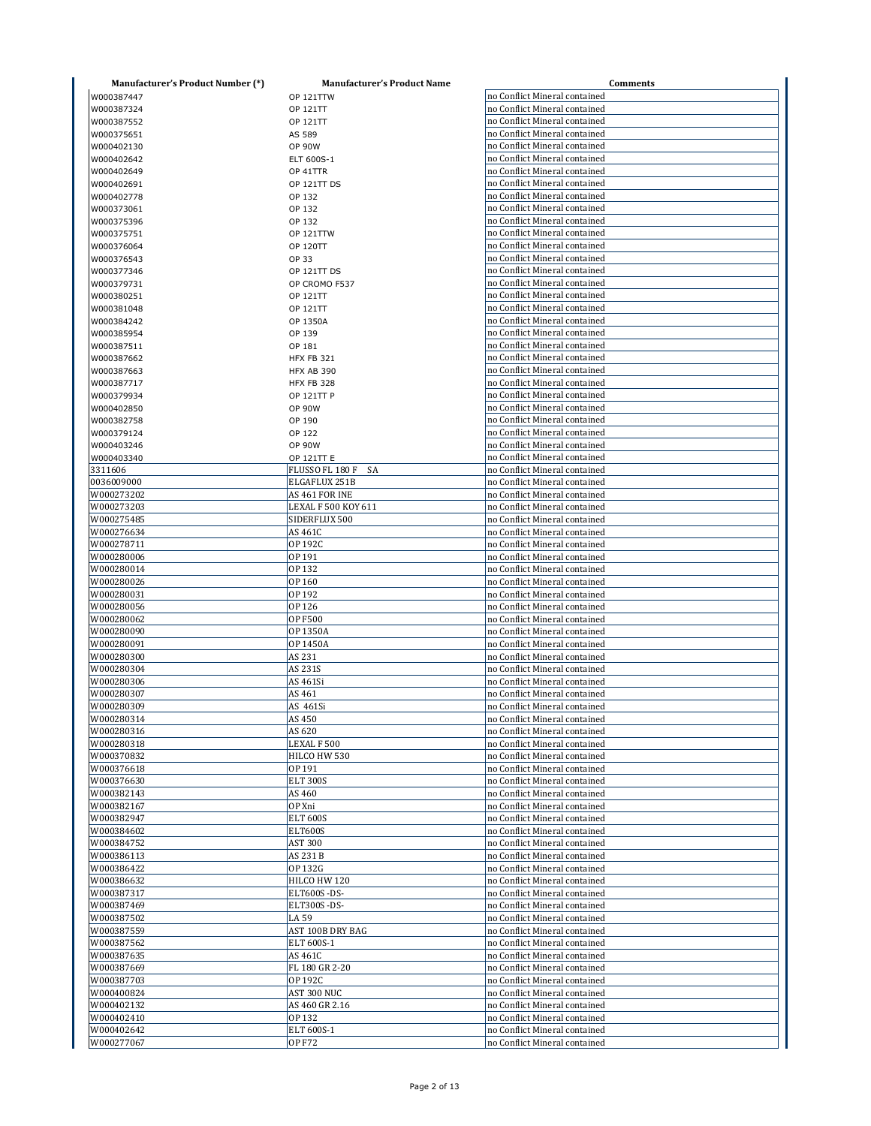| <b>Manufacturer's Product Number (*)</b> | <b>Manufacturer's Product Name</b>    | Comments                                                       |
|------------------------------------------|---------------------------------------|----------------------------------------------------------------|
| W000387447                               | <b>OP 121TTW</b>                      | no Conflict Mineral contained                                  |
| W000387324                               | OP 121TT                              | no Conflict Mineral contained                                  |
| W000387552                               | OP 121TT                              | no Conflict Mineral contained                                  |
| W000375651                               | AS 589                                | no Conflict Mineral contained                                  |
| W000402130                               | <b>OP 90W</b>                         | no Conflict Mineral contained                                  |
| W000402642                               | ELT 600S-1                            | no Conflict Mineral contained                                  |
| W000402649                               | OP 41TTR                              | no Conflict Mineral contained                                  |
| W000402691                               | OP 121TT DS                           | no Conflict Mineral contained                                  |
| W000402778                               | OP 132                                | no Conflict Mineral contained                                  |
| W000373061                               | OP 132                                | no Conflict Mineral contained                                  |
| W000375396                               | OP 132                                | no Conflict Mineral contained                                  |
| W000375751                               | OP 121TTW                             | no Conflict Mineral contained                                  |
| W000376064                               | <b>OP 120TT</b>                       | no Conflict Mineral contained                                  |
| W000376543                               | OP 33                                 | no Conflict Mineral contained                                  |
| W000377346                               | OP 121TT DS                           | no Conflict Mineral contained                                  |
| W000379731                               | OP CROMO F537                         | no Conflict Mineral contained                                  |
| W000380251                               | OP 121TT                              | no Conflict Mineral contained                                  |
| W000381048                               | OP 121TT                              | no Conflict Mineral contained                                  |
| W000384242                               | OP 1350A                              | no Conflict Mineral contained                                  |
| W000385954                               | OP 139                                | no Conflict Mineral contained                                  |
| W000387511                               | OP 181                                | no Conflict Mineral contained                                  |
|                                          |                                       | no Conflict Mineral contained                                  |
| W000387662                               | <b>HFX FB 321</b>                     | no Conflict Mineral contained                                  |
| W000387663                               | HFX AB 390                            | no Conflict Mineral contained                                  |
| W000387717                               | HFX FB 328                            | no Conflict Mineral contained                                  |
| W000379934                               | OP 121TT P                            |                                                                |
| W000402850                               | <b>OP 90W</b>                         | no Conflict Mineral contained                                  |
| W000382758                               | OP 190                                | no Conflict Mineral contained                                  |
| W000379124                               | OP 122                                | no Conflict Mineral contained                                  |
| W000403246                               | <b>OP 90W</b>                         | no Conflict Mineral contained                                  |
| W000403340                               | OP 121TT E                            | no Conflict Mineral contained                                  |
| 3311606<br>0036009000                    | FLUSSO FL 180 F<br>SA                 | no Conflict Mineral contained<br>no Conflict Mineral contained |
| W000273202                               | ELGAFLUX 251B                         |                                                                |
| W000273203                               | AS 461 FOR INE<br>LEXAL F 500 KOY 611 | no Conflict Mineral contained<br>no Conflict Mineral contained |
| W000275485                               | SIDERFLUX 500                         | no Conflict Mineral contained                                  |
| W000276634                               | AS 461C                               | no Conflict Mineral contained                                  |
| W000278711                               | OP 192C                               | no Conflict Mineral contained                                  |
| W000280006                               | OP 191                                | no Conflict Mineral contained                                  |
| W000280014                               | OP 132                                | no Conflict Mineral contained                                  |
| W000280026                               | OP 160                                | no Conflict Mineral contained                                  |
| W000280031                               | OP 192                                | no Conflict Mineral contained                                  |
| W000280056                               | OP 126                                | no Conflict Mineral contained                                  |
| W000280062                               | <b>OP F500</b>                        | no Conflict Mineral contained                                  |
| W000280090                               | OP 1350A                              | no Conflict Mineral contained                                  |
| W000280091                               | OP 1450A                              | no Conflict Mineral contained                                  |
| W000280300                               | AS 231                                | no Conflict Mineral contained                                  |
| W000280304                               | AS 231S                               | no Conflict Mineral contained                                  |
| W000280306                               | AS 461Si                              | no Conflict Mineral contained                                  |
| W000280307                               | AS 461                                | no Conflict Mineral contained                                  |
| W000280309                               | AS 461Si                              | no Conflict Mineral contained                                  |
| W000280314                               | AS 450                                | no Conflict Mineral contained                                  |
| W000280316                               | AS 620                                | no Conflict Mineral contained                                  |
| W000280318                               | LEXAL F 500                           | no Conflict Mineral contained                                  |
| W000370832                               | HILCO HW 530                          | no Conflict Mineral contained                                  |
| W000376618                               | OP 191                                | no Conflict Mineral contained                                  |
| W000376630                               | <b>ELT 300S</b>                       | no Conflict Mineral contained                                  |
| W000382143                               | AS 460                                | no Conflict Mineral contained                                  |
| W000382167                               | OP Xni                                | no Conflict Mineral contained                                  |
| W000382947                               | <b>ELT 600S</b>                       | no Conflict Mineral contained                                  |
| W000384602                               | <b>ELT600S</b>                        | no Conflict Mineral contained                                  |
| W000384752                               | <b>AST 300</b>                        | no Conflict Mineral contained                                  |
| W000386113                               | AS 231 B                              | no Conflict Mineral contained                                  |
| W000386422                               | OP 132G                               | no Conflict Mineral contained                                  |
| W000386632                               | HILCO HW 120                          | no Conflict Mineral contained                                  |
| W000387317                               | ELT600S-DS-                           | no Conflict Mineral contained                                  |
| W000387469                               | ELT300S-DS-                           | no Conflict Mineral contained                                  |
| W000387502                               | LA 59                                 | no Conflict Mineral contained                                  |
| W000387559                               | AST 100B DRY BAG                      | no Conflict Mineral contained                                  |
| W000387562                               | ELT 600S-1                            | no Conflict Mineral contained                                  |
| W000387635                               | AS 461C                               | no Conflict Mineral contained                                  |
| W000387669                               | FL 180 GR 2-20                        | no Conflict Mineral contained                                  |
| W000387703                               | OP 192C                               | no Conflict Mineral contained                                  |
| W000400824                               | AST 300 NUC                           | no Conflict Mineral contained                                  |
| W000402132                               | AS 460 GR 2.16                        | no Conflict Mineral contained                                  |
| W000402410                               | OP 132                                | no Conflict Mineral contained                                  |
| W000402642                               | ELT 600S-1                            | no Conflict Mineral contained                                  |
| W000277067                               | <b>OP F72</b>                         | no Conflict Mineral contained                                  |